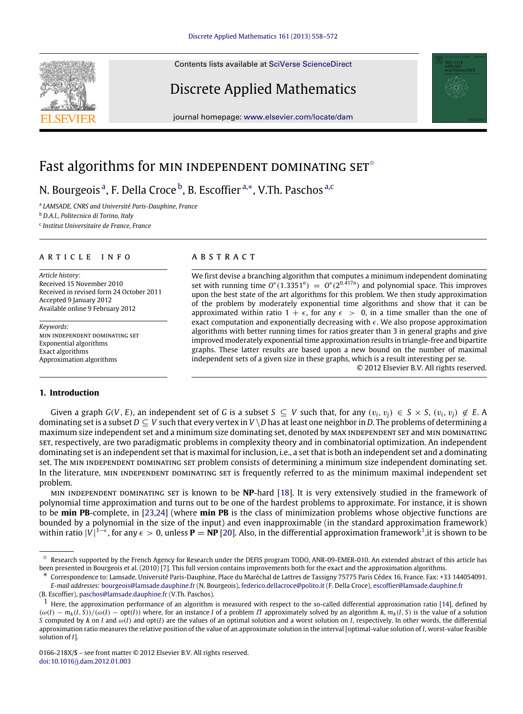Contents lists available at [SciVerse ScienceDirect](http://www.elsevier.com/locate/dam)

## Discrete Applied Mathematics

journal homepage: [www.elsevier.com/locate/dam](http://www.elsevier.com/locate/dam)

# Fast algorithms for MIN INDEPENDENT DOMINATING SET<sup> $\hat{\ }$ </sup>

N. Bourgeois<sup>[a](#page-0-1)</sup>, F. Della Croce <sup>[b](#page-0-2)</sup>, B. Escoffier <sup>[a,](#page-0-1)\*</sup>, V.Th. Pas[c](#page-0-4)hos <sup>a,c</sup>

<span id="page-0-1"></span>a *LAMSADE, CNRS and Université Paris-Dauphine, France*

<span id="page-0-2"></span><sup>b</sup> *D.A.I., Politecnico di Torino, Italy*

<span id="page-0-4"></span>c *Institut Universitaire de France, France*

#### A R T I C L E I N F O

*Article history:* Received 15 November 2010 Received in revised form 24 October 2011 Accepted 9 January 2012 Available online 9 February 2012

*Keywords:* min independent dominating set Exponential algorithms Exact algorithms Approximation algorithms

#### **1. Introduction**

## a b s t r a c t

We first devise a branching algorithm that computes a minimum independent dominating set with running time  $O^*(1.3351^n) = O^*(2^{0.417n})$  and polynomial space. This improves upon the best state of the art algorithms for this problem. We then study approximation of the problem by moderately exponential time algorithms and show that it can be approximated within ratio  $1 + \epsilon$ , for any  $\epsilon > 0$ , in a time smaller than the one of exact computation and exponentially decreasing with  $\epsilon$ . We also propose approximation algorithms with better running times for ratios greater than 3 in general graphs and give improved moderately exponential time approximation results in triangle-free and bipartite graphs. These latter results are based upon a new bound on the number of maximal independent sets of a given size in these graphs, which is a result interesting per se. © 2012 Elsevier B.V. All rights reserved.

Given a graph  $G(V, E)$ , an independent set of G is a subset  $S \subseteq V$  such that, for any  $(v_i, v_i) \in S \times S$ ,  $(v_i, v_i) \notin E$ . A dominating set is a subset  $D \subseteq V$  such that every vertex in  $V \setminus D$  has at least one neighbor in *D*. The problems of determining a maximum size independent set and a minimum size dominating set, denoted by max independent set and min dominating set, respectively, are two paradigmatic problems in complexity theory and in combinatorial optimization. An independent dominating set is an independent set that is maximal for inclusion, i.e., a set that is both an independent set and a dominating set. The MIN INDEPENDENT DOMINATING SET problem consists of determining a minimum size independent dominating set. In the literature, MIN INDEPENDENT DOMINATING SET is frequently referred to as the minimum maximal independent set problem.

min independent dominating set is known to be **NP**-hard [\[18\]](#page--1-0). It is very extensively studied in the framework of polynomial time approximation and turns out to be one of the hardest problems to approximate. For instance, it is shown to be **min PB**-complete, in [\[23](#page--1-1)[,24\]](#page--1-2) (where **min PB** is the class of minimization problems whose objective functions are bounded by a polynomial in the size of the input) and even inapproximable (in the standard approximation framework) within ratio  $|V|^{1-\epsilon}$  $|V|^{1-\epsilon}$  $|V|^{1-\epsilon}$ , for any  $\epsilon > 0$ , unless  $P = NP$  [\[20\]](#page--1-3). Also, in the differential approximation framework<sup>1</sup>, it is shown to be





<span id="page-0-0"></span> $\hat{\sigma}$  Research supported by the French Agency for Research under the DEFIS program TODO, ANR-09-EMER-010. An extended abstract of this article has been presented in Bourgeois et al. (2010) [\[7\]](#page--1-4). This full version contains improvements both for the exact and the approximation algorithms.

<span id="page-0-3"></span><sup>∗</sup> Correspondence to: Lamsade, Université Paris-Dauphine, Place du Maréchal de Lattres de Tassigny 75775 Paris Cédex 16, France. Fax: +33 144054091. *E-mail addresses:* [bourgeois@lamsade.dauphine.fr](mailto:bourgeois@lamsade.dauphine.fr) (N. Bourgeois), [federico.dellacroce@polito.it](mailto:federico.dellacroce@polito.it) (F. Della Croce), [escoffier@lamsade.dauphine.fr](mailto:escoffier@lamsade.dauphine.fr)

<sup>(</sup>B. Escoffier), [paschos@lamsade.dauphine.fr](mailto:paschos@lamsade.dauphine.fr) (V.Th. Paschos).

<span id="page-0-5"></span> $<sup>1</sup>$  Here, the approximation performance of an algorithm is measured with respect to the so-called differential approximation ratio [\[14\]](#page--1-5), defined by</sup>  $(\omega(I) - m_A(I, S)) / (\omega(I) - \text{opt}(I))$  where, for an instance *I* of a problem *Π* approximately solved by an algorithm A,  $m_A(I, S)$  is the value of a solution *S* computed by A on *I* and ω(*I*) and opt(*I*) are the values of an optimal solution and a worst solution on *I*, respectively. In other words, the differential approximation ratio measures the relative position of the value of an approximate solution in the interval [optimal-value solution of *I*, worst-value feasible solution of *I*].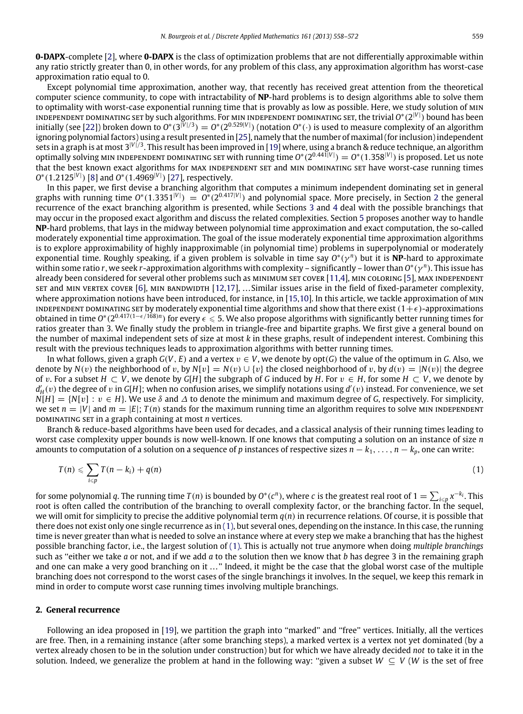**0-DAPX**-complete [\[2\]](#page--1-6), where **0-DAPX** is the class of optimization problems that are not differentially approximable within any ratio strictly greater than 0, in other words, for any problem of this class, any approximation algorithm has worst-case approximation ratio equal to 0.

Except polynomial time approximation, another way, that recently has received great attention from the theoretical computer science community, to cope with intractability of **NP**-hard problems is to design algorithms able to solve them to optimality with worst-case exponential running time that is provably as low as possible. Here, we study solution of min independent dominating set by such algorithms. For min independent dominating set, the trivial *O* ∗ (2 |*V*| ) bound has been initially (see [\[22\]](#page--1-7)) broken down to  $0^*(3^{|V|/3})=0^*(2^{0.529|V|})$  (notation  $0^*(\cdot)$  is used to measure complexity of an algorithm ignoring polynomial factors) using a result presented in [\[25\]](#page--1-8), namely that the number of maximal (for inclusion) independent sets in a graph is at most 3<sup>|V|/3</sup>. This result has been improved in [\[19\]](#page--1-9) where, using a branch & reduce technique, an algorithm optimally solving MIN INDEPENDENT DOMINATING SET with running time  $O^*(2^{0.441|V|}) = O^*(1.358^{|V|})$  is proposed. Let us note that the best known exact algorithms for MAX INDEPENDENT SET and MIN DOMINATING SET have worst-case running times *O*<sup>\*</sup>(1.2125<sup>|*V*|</sup>) [\[8\]](#page--1-10) and *O*<sup>\*</sup>(1.4969<sup>|*V*|</sup>) [\[27\]](#page--1-11), respectively.

In this paper, we first devise a branching algorithm that computes a minimum independent dominating set in general graphs with running time  $0^*(1.3351^{|V|}) = 0^*(2^{0.417|V|})$  $0^*(1.3351^{|V|}) = 0^*(2^{0.417|V|})$  $0^*(1.3351^{|V|}) = 0^*(2^{0.417|V|})$  and polynomial space. More precisely, in Section 2 the general recurrence of the exact branching algorithm is presented, while Sections [3](#page--1-12) and [4](#page--1-13) deal with the possible branchings that may occur in the proposed exact algorithm and discuss the related complexities. Section [5](#page--1-14) proposes another way to handle **NP**-hard problems, that lays in the midway between polynomial time approximation and exact computation, the so-called moderately exponential time approximation. The goal of the issue moderately exponential time approximation algorithms is to explore approximability of highly inapproximable (in polynomial time) problems in superpolynomial or moderately exponential time. Roughly speaking, if a given problem is solvable in time say *O* ∗ (γ *<sup>n</sup>* ) but it is **NP**-hard to approximate within some ratio *r*, we seek *r*-approximation algorithms with complexity – significantly – lower than *O* ∗ (γ *<sup>n</sup>* ). This issue has already been considered for several other problems such as MINIMUM SET COVER [\[11](#page--1-15)[,4\]](#page--1-16), MIN COLORING [\[5\]](#page--1-17), MAX INDEPENDENT set and MIN VERTEX COVER [\[6\]](#page--1-18), MIN BANDWIDTH [\[12,](#page--1-19)[17\]](#page--1-20), ... Similar issues arise in the field of fixed-parameter complexity, where approximation notions have been introduced, for instance, in [\[15,](#page--1-21)[10\]](#page--1-22). In this article, we tackle approximation of  $MIN$ INDEPENDENT DOMINATING SET by moderately exponential time algorithms and show that there exist  $(1+\epsilon)$ -approximations obtained in time  $O^*(2^{0.417(1-\epsilon/168)n})$  for every  $\epsilon \le 5$ . We also propose algorithms with significantly better running times for ratios greater than 3. We finally study the problem in triangle-free and bipartite graphs. We first give a general bound on the number of maximal independent sets of size at most *k* in these graphs, result of independent interest. Combining this result with the previous techniques leads to approximation algorithms with better running times.

In what follows, given a graph  $G(V, E)$  and a vertex  $v \in V$ , we denote by opt $(G)$  the value of the optimum in G. Also, we denote by  $N(v)$  the neighborhood of v, by  $N[v] = N(v) \cup \{v\}$  the closed neighborhood of v, by  $d(v) = |N(v)|$  the degree of v. For a subset  $H \subset V$ , we denote by  $G[H]$  the subgraph of G induced by  $H$ . For  $v \in H$ , for some  $H \subset V$ , we denote by  $d'_{H}(v)$  the degree of v in *G*[*H*]; when no confusion arises, we simplify notations using  $d'(v)$  instead. For convenience, we set  $N[H] = \{N[v] : v \in H\}$ . We use  $\delta$  and  $\Delta$  to denote the minimum and maximum degree of *G*, respectively. For simplicity, we set  $n = |V|$  and  $m = |E|$ ;  $T(n)$  stands for the maximum running time an algorithm requires to solve MIN INDEPENDENT dominating set in a graph containing at most *n* vertices.

Branch & reduce-based algorithms have been used for decades, and a classical analysis of their running times leading to worst case complexity upper bounds is now well-known. If one knows that computing a solution on an instance of size *n* amounts to computation of a solution on a sequence of *p* instances of respective sizes *n* − *k*1, . . . , *n* − *kp*, one can write:

<span id="page-1-1"></span>
$$
T(n) \leqslant \sum_{i \leqslant p} T(n-k_i) + q(n) \tag{1}
$$

for some polynomial *q*. The running time *T*(*n*) is bounded by  $O^*(c^n)$ , where *c* is the greatest real root of  $1 = \sum_{i \leq p} x^{-k_i}$ . This root is often called the contribution of the branching to overall complexity factor, or the branching factor. In the sequel, we will omit for simplicity to precise the additive polynomial term *q*(*n*) in recurrence relations. Of course, it is possible that there does not exist only one single recurrence as in [\(1\),](#page-1-1) but several ones, depending on the instance. In this case, the running time is never greater than what is needed to solve an instance where at every step we make a branching that has the highest possible branching factor, i.e., the largest solution of [\(1\).](#page-1-1) This is actually not true anymore when doing *multiple branchings* such as ''either we take *a* or not, and if we add *a* to the solution then we know that *b* has degree 3 in the remaining graph and one can make a very good branching on it . . . '' Indeed, it might be the case that the global worst case of the multiple branching does not correspond to the worst cases of the single branchings it involves. In the sequel, we keep this remark in mind in order to compute worst case running times involving multiple branchings.

### <span id="page-1-0"></span>**2. General recurrence**

Following an idea proposed in [\[19\]](#page--1-9), we partition the graph into "marked" and "free" vertices. Initially, all the vertices are free. Then, in a remaining instance (after some branching steps), a marked vertex is a vertex not yet dominated (by a vertex already chosen to be in the solution under construction) but for which we have already decided *not* to take it in the solution. Indeed, we generalize the problem at hand in the following way: "given a subset  $W \subseteq V$  (*W* is the set of free